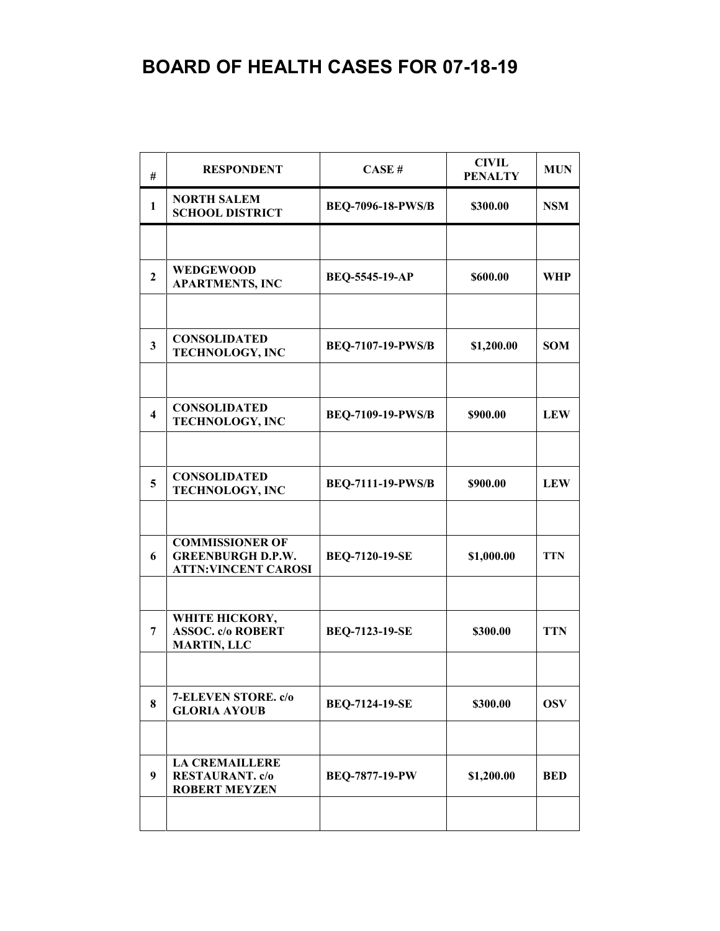| #                       | <b>RESPONDENT</b>                                                                | CASE#                    | <b>CIVIL</b><br><b>PENALTY</b> | <b>MUN</b> |
|-------------------------|----------------------------------------------------------------------------------|--------------------------|--------------------------------|------------|
| $\mathbf{1}$            | <b>NORTH SALEM</b><br><b>SCHOOL DISTRICT</b>                                     | <b>BEQ-7096-18-PWS/B</b> | \$300.00                       | <b>NSM</b> |
|                         |                                                                                  |                          |                                |            |
| $\overline{2}$          | <b>WEDGEWOOD</b><br><b>APARTMENTS, INC</b>                                       | BEQ-5545-19-AP           | \$600.00                       | <b>WHP</b> |
|                         |                                                                                  |                          |                                |            |
| $\mathbf{3}$            | <b>CONSOLIDATED</b><br>TECHNOLOGY, INC                                           | <b>BEQ-7107-19-PWS/B</b> | \$1,200.00                     | <b>SOM</b> |
|                         |                                                                                  |                          |                                |            |
| $\overline{\mathbf{4}}$ | <b>CONSOLIDATED</b><br><b>TECHNOLOGY, INC</b>                                    | <b>BEQ-7109-19-PWS/B</b> | \$900.00                       | <b>LEW</b> |
|                         |                                                                                  |                          |                                |            |
| 5                       | <b>CONSOLIDATED</b><br><b>TECHNOLOGY, INC</b>                                    | <b>BEQ-7111-19-PWS/B</b> | \$900.00                       | <b>LEW</b> |
|                         |                                                                                  |                          |                                |            |
| 6                       | <b>COMMISSIONER OF</b><br><b>GREENBURGH D.P.W.</b><br><b>ATTN:VINCENT CAROSI</b> | <b>BEQ-7120-19-SE</b>    | \$1,000.00                     | <b>TTN</b> |
|                         |                                                                                  |                          |                                |            |
| 7                       | WHITE HICKORY,<br><b>ASSOC. c/o ROBERT</b><br><b>MARTIN, LLC</b>                 | <b>BEQ-7123-19-SE</b>    | \$300.00                       | <b>TTN</b> |
|                         |                                                                                  |                          |                                |            |
| 8                       | 7-ELEVEN STORE. c/o<br><b>GLORIA AYOUB</b>                                       | <b>BEQ-7124-19-SE</b>    | \$300.00                       | <b>OSV</b> |
|                         |                                                                                  |                          |                                |            |
| 9                       | <b>LA CREMAILLERE</b><br><b>RESTAURANT.</b> c/o<br><b>ROBERT MEYZEN</b>          | <b>BEQ-7877-19-PW</b>    | \$1,200.00                     | <b>BED</b> |
|                         |                                                                                  |                          |                                |            |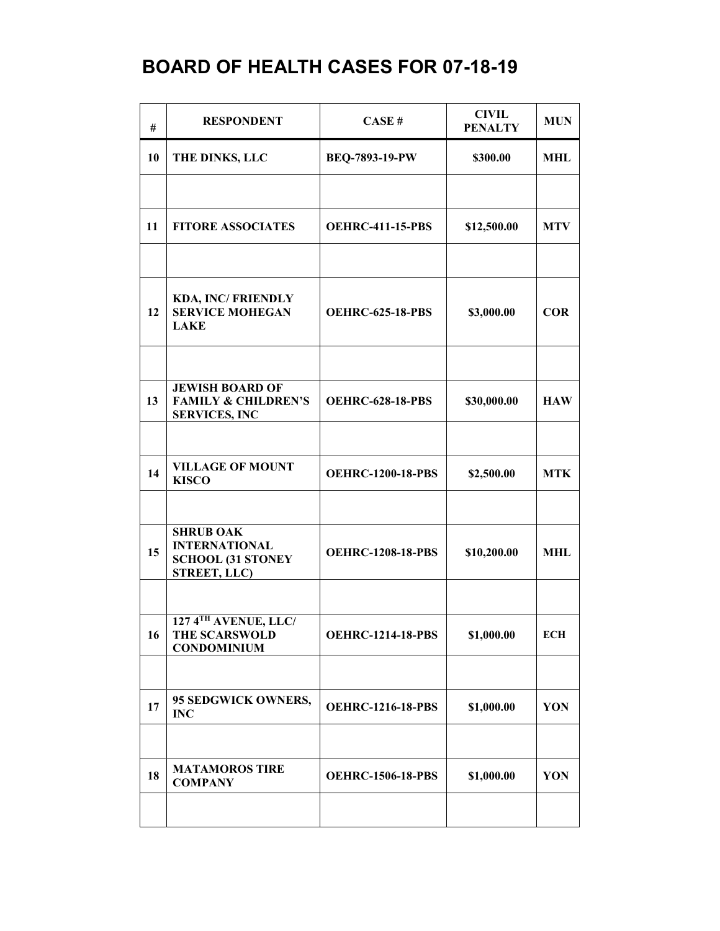| #  | <b>RESPONDENT</b>                                                                    | CASE#                    | <b>CIVIL</b><br><b>PENALTY</b> | <b>MUN</b> |
|----|--------------------------------------------------------------------------------------|--------------------------|--------------------------------|------------|
| 10 | THE DINKS, LLC                                                                       | BEQ-7893-19-PW           | \$300.00                       | <b>MHL</b> |
|    |                                                                                      |                          |                                |            |
| 11 | <b>FITORE ASSOCIATES</b>                                                             | <b>OEHRC-411-15-PBS</b>  | \$12,500.00                    | <b>MTV</b> |
|    |                                                                                      |                          |                                |            |
| 12 | <b>KDA, INC/FRIENDLY</b><br><b>SERVICE MOHEGAN</b><br><b>LAKE</b>                    | <b>OEHRC-625-18-PBS</b>  | \$3,000.00                     | <b>COR</b> |
|    |                                                                                      |                          |                                |            |
| 13 | <b>JEWISH BOARD OF</b><br><b>FAMILY &amp; CHILDREN'S</b><br><b>SERVICES, INC</b>     | <b>OEHRC-628-18-PBS</b>  | \$30,000.00                    | <b>HAW</b> |
|    |                                                                                      |                          |                                |            |
| 14 | <b>VILLAGE OF MOUNT</b><br><b>KISCO</b>                                              | <b>OEHRC-1200-18-PBS</b> | \$2,500.00                     | <b>MTK</b> |
|    |                                                                                      |                          |                                |            |
| 15 | <b>SHRUB OAK</b><br><b>INTERNATIONAL</b><br><b>SCHOOL (31 STONEY</b><br>STREET, LLC) | <b>OEHRC-1208-18-PBS</b> | \$10,200.00                    | MHL        |
|    |                                                                                      |                          |                                |            |
| 16 | 127 4TH AVENUE, LLC/<br><b>THE SCARSWOLD</b><br><b>CONDOMINIUM</b>                   | <b>OEHRC-1214-18-PBS</b> | \$1,000.00                     | <b>ECH</b> |
|    |                                                                                      |                          |                                |            |
| 17 | 95 SEDGWICK OWNERS,<br><b>INC</b>                                                    | <b>OEHRC-1216-18-PBS</b> | \$1,000.00                     | YON        |
|    |                                                                                      |                          |                                |            |
| 18 | <b>MATAMOROS TIRE</b><br><b>COMPANY</b>                                              | <b>OEHRC-1506-18-PBS</b> | \$1,000.00                     | YON        |
|    |                                                                                      |                          |                                |            |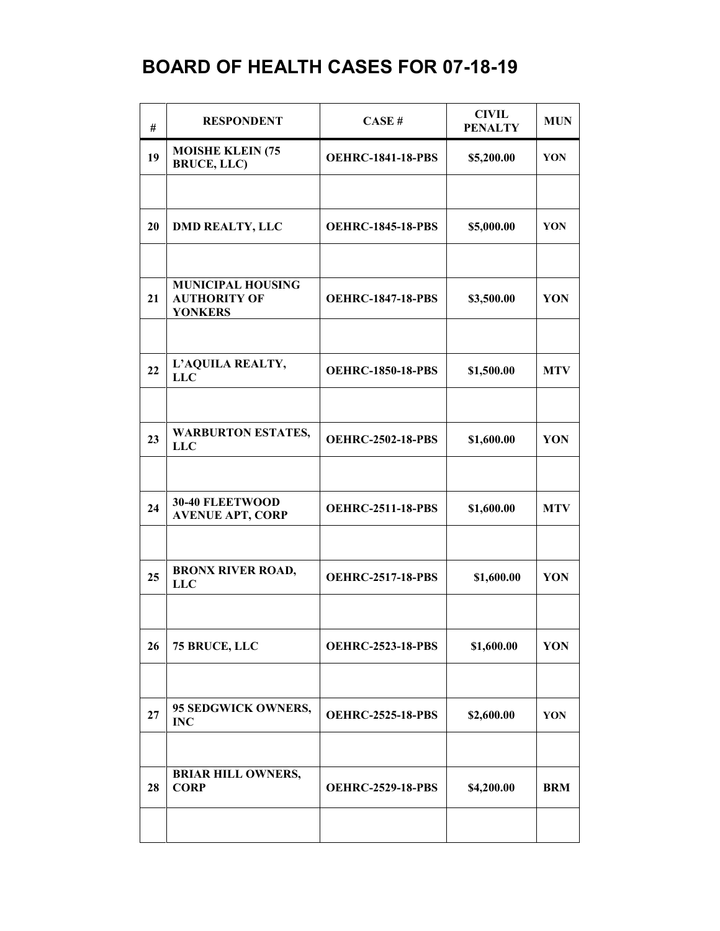| #  | <b>RESPONDENT</b>                                                 | CASE#                    | <b>CIVIL</b><br><b>PENALTY</b> | <b>MUN</b> |
|----|-------------------------------------------------------------------|--------------------------|--------------------------------|------------|
| 19 | <b>MOISHE KLEIN (75</b><br><b>BRUCE, LLC)</b>                     | <b>OEHRC-1841-18-PBS</b> | \$5,200.00                     | YON        |
|    |                                                                   |                          |                                |            |
| 20 | <b>DMD REALTY, LLC</b>                                            | <b>OEHRC-1845-18-PBS</b> | \$5,000.00                     | YON        |
|    |                                                                   |                          |                                |            |
| 21 | <b>MUNICIPAL HOUSING</b><br><b>AUTHORITY OF</b><br><b>YONKERS</b> | <b>OEHRC-1847-18-PBS</b> | \$3,500.00                     | YON        |
|    |                                                                   |                          |                                |            |
| 22 | L'AQUILA REALTY,<br><b>LLC</b>                                    | <b>OEHRC-1850-18-PBS</b> | \$1,500.00                     | <b>MTV</b> |
|    |                                                                   |                          |                                |            |
| 23 | <b>WARBURTON ESTATES,</b><br><b>LLC</b>                           | <b>OEHRC-2502-18-PBS</b> | \$1,600.00                     | YON        |
|    |                                                                   |                          |                                |            |
| 24 | 30-40 FLEETWOOD<br><b>AVENUE APT, CORP</b>                        | <b>OEHRC-2511-18-PBS</b> | \$1,600.00                     | <b>MTV</b> |
|    |                                                                   |                          |                                |            |
| 25 | <b>BRONX RIVER ROAD,</b><br><b>LLC</b>                            | <b>OEHRC-2517-18-PBS</b> | \$1,600.00                     | YON        |
|    |                                                                   |                          |                                |            |
| 26 | 75 BRUCE, LLC                                                     | <b>OEHRC-2523-18-PBS</b> | \$1,600.00                     | YON        |
|    |                                                                   |                          |                                |            |
| 27 | 95 SEDGWICK OWNERS,<br><b>INC</b>                                 | <b>OEHRC-2525-18-PBS</b> | \$2,600.00                     | YON        |
|    |                                                                   |                          |                                |            |
| 28 | <b>BRIAR HILL OWNERS,</b><br><b>CORP</b>                          | <b>OEHRC-2529-18-PBS</b> | \$4,200.00                     | <b>BRM</b> |
|    |                                                                   |                          |                                |            |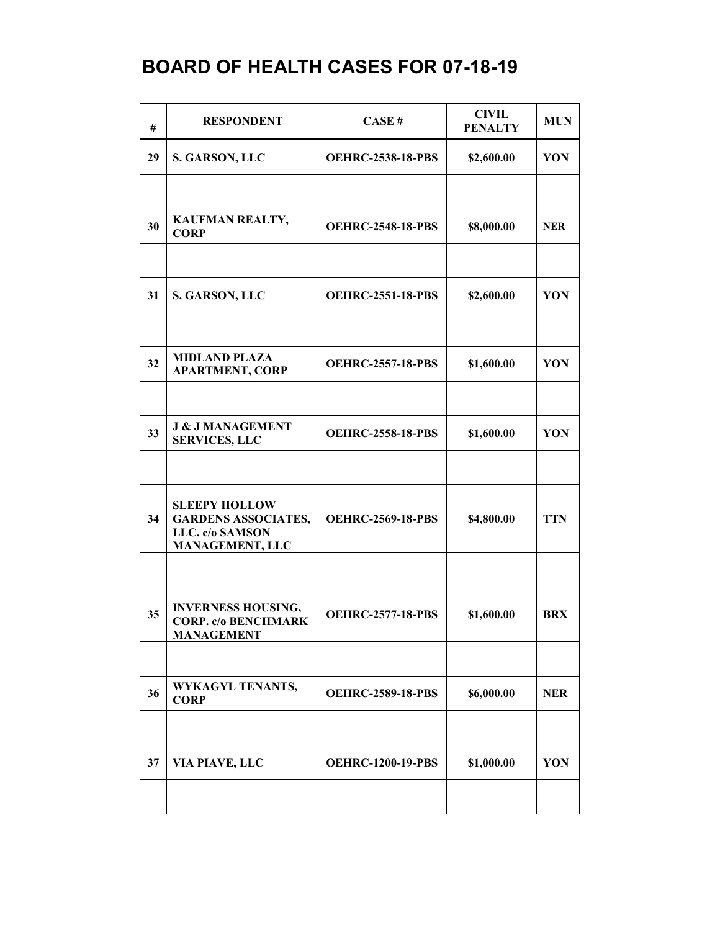| #  | <b>RESPONDENT</b>                                                                        | CASE#                    | <b>CIVIL</b><br><b>PENALTY</b> | <b>MUN</b> |
|----|------------------------------------------------------------------------------------------|--------------------------|--------------------------------|------------|
| 29 | S. GARSON, LLC                                                                           | <b>OEHRC-2538-18-PBS</b> | \$2,600.00                     | YON        |
|    |                                                                                          |                          |                                |            |
| 30 | KAUFMAN REALTY,<br><b>CORP</b>                                                           | <b>OEHRC-2548-18-PBS</b> | \$8,000.00                     | <b>NER</b> |
|    |                                                                                          |                          |                                |            |
| 31 | S. GARSON, LLC                                                                           | <b>OEHRC-2551-18-PBS</b> | \$2,600.00                     | YON        |
|    |                                                                                          |                          |                                |            |
| 32 | <b>MIDLAND PLAZA</b><br><b>APARTMENT, CORP</b>                                           | <b>OEHRC-2557-18-PBS</b> | \$1,600.00                     | YON        |
|    |                                                                                          |                          |                                |            |
| 33 | <b>J &amp; J MANAGEMENT</b><br><b>SERVICES, LLC</b>                                      | <b>OEHRC-2558-18-PBS</b> | \$1,600.00                     | YON        |
|    |                                                                                          |                          |                                |            |
| 34 | <b>SLEEPY HOLLOW</b><br><b>GARDENS ASSOCIATES,</b><br>LLC. c/o SAMSON<br>MANAGEMENT, LLC | <b>OEHRC-2569-18-PBS</b> | \$4,800.00                     | <b>TTN</b> |
|    |                                                                                          |                          |                                |            |
| 35 | <b>INVERNESS HOUSING,</b><br><b>CORP. c/o BENCHMARK</b><br><b>MANAGEMENT</b>             | <b>OEHRC-2577-18-PBS</b> | \$1,600.00                     | <b>BRX</b> |
|    |                                                                                          |                          |                                |            |
| 36 | WYKAGYL TENANTS,<br><b>CORP</b>                                                          | <b>OEHRC-2589-18-PBS</b> | \$6,000.00                     | <b>NER</b> |
|    |                                                                                          |                          |                                |            |
| 37 | VIA PIAVE, LLC                                                                           | <b>OEHRC-1200-19-PBS</b> | \$1,000.00                     | YON        |
|    |                                                                                          |                          |                                |            |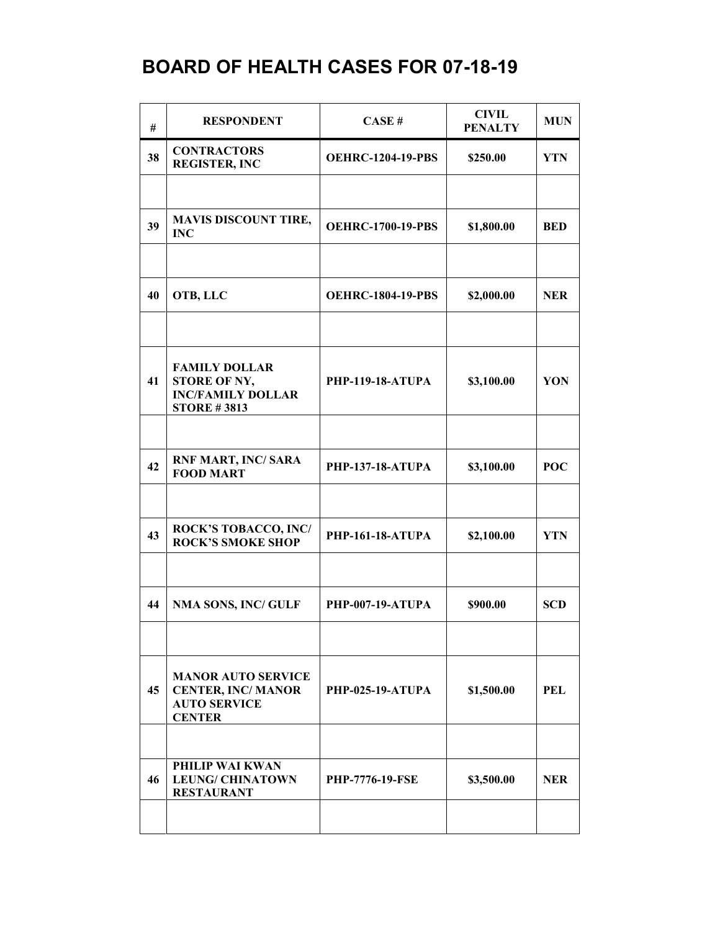| #  | <b>RESPONDENT</b>                                                                             | CASE#                    | <b>CIVIL</b><br><b>PENALTY</b> | <b>MUN</b> |
|----|-----------------------------------------------------------------------------------------------|--------------------------|--------------------------------|------------|
| 38 | <b>CONTRACTORS</b><br><b>REGISTER, INC</b>                                                    | <b>OEHRC-1204-19-PBS</b> | \$250.00                       | <b>YTN</b> |
|    |                                                                                               |                          |                                |            |
| 39 | <b>MAVIS DISCOUNT TIRE,</b><br><b>INC</b>                                                     | <b>OEHRC-1700-19-PBS</b> | \$1,800.00                     | <b>BED</b> |
|    |                                                                                               |                          |                                |            |
| 40 | OTB, LLC                                                                                      | <b>OEHRC-1804-19-PBS</b> | \$2,000.00                     | <b>NER</b> |
|    |                                                                                               |                          |                                |            |
| 41 | <b>FAMILY DOLLAR</b><br><b>STORE OF NY,</b><br><b>INC/FAMILY DOLLAR</b><br><b>STORE #3813</b> | <b>PHP-119-18-ATUPA</b>  | \$3,100.00                     | YON        |
|    |                                                                                               |                          |                                |            |
| 42 | <b>RNF MART, INC/ SARA</b><br><b>FOOD MART</b>                                                | <b>PHP-137-18-ATUPA</b>  | \$3,100.00                     | <b>POC</b> |
|    |                                                                                               |                          |                                |            |
| 43 | <b>ROCK'S TOBACCO, INC/</b><br><b>ROCK'S SMOKE SHOP</b>                                       | <b>PHP-161-18-ATUPA</b>  | \$2,100.00                     | YTN        |
|    |                                                                                               |                          |                                |            |
| 44 | <b>NMA SONS, INC/ GULF</b>                                                                    | <b>PHP-007-19-ATUPA</b>  | \$900.00                       | <b>SCD</b> |
|    |                                                                                               |                          |                                |            |
| 45 | <b>MANOR AUTO SERVICE</b><br><b>CENTER, INC/MANOR</b><br><b>AUTO SERVICE</b><br><b>CENTER</b> | <b>PHP-025-19-ATUPA</b>  | \$1,500.00                     | <b>PEL</b> |
|    |                                                                                               |                          |                                |            |
| 46 | PHILIP WAI KWAN<br><b>LEUNG/ CHINATOWN</b><br><b>RESTAURANT</b>                               | <b>PHP-7776-19-FSE</b>   | \$3,500.00                     | <b>NER</b> |
|    |                                                                                               |                          |                                |            |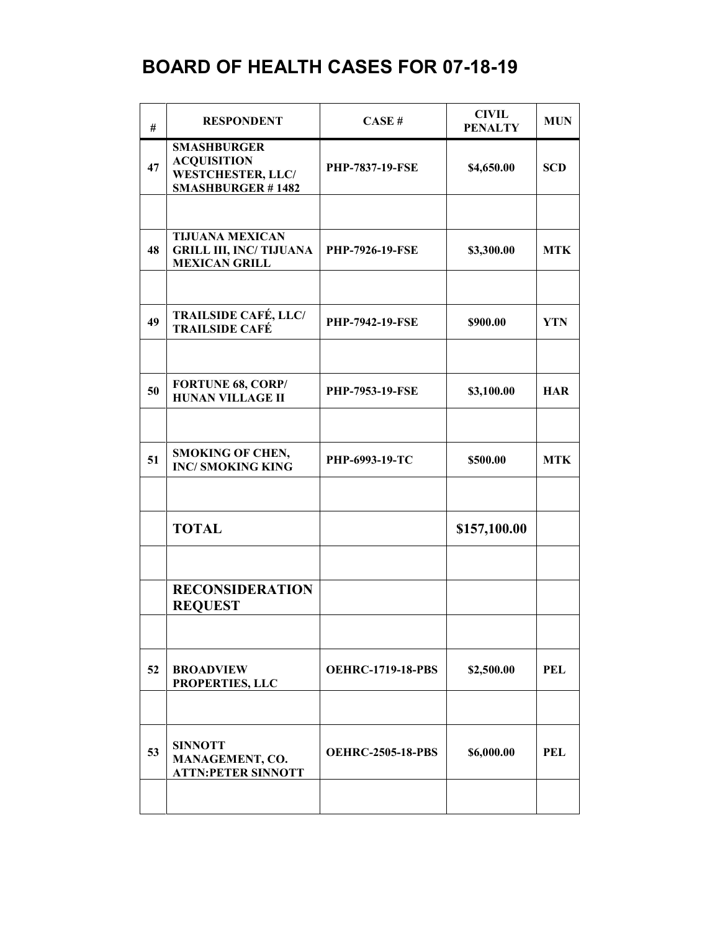| #  | <b>RESPONDENT</b>                                                                                | CASE#                    | <b>CIVIL</b><br><b>PENALTY</b> | <b>MUN</b> |
|----|--------------------------------------------------------------------------------------------------|--------------------------|--------------------------------|------------|
| 47 | <b>SMASHBURGER</b><br><b>ACQUISITION</b><br><b>WESTCHESTER, LLC/</b><br><b>SMASHBURGER #1482</b> | PHP-7837-19-FSE          | \$4,650.00                     | <b>SCD</b> |
|    |                                                                                                  |                          |                                |            |
| 48 | <b>TIJUANA MEXICAN</b><br><b>GRILL III, INC/ TIJUANA</b><br><b>MEXICAN GRILL</b>                 | <b>PHP-7926-19-FSE</b>   | \$3,300.00                     | <b>MTK</b> |
|    |                                                                                                  |                          |                                |            |
| 49 | <b>TRAILSIDE CAFÉ, LLC/</b><br><b>TRAILSIDE CAFÉ</b>                                             | <b>PHP-7942-19-FSE</b>   | \$900.00                       | <b>YTN</b> |
|    |                                                                                                  |                          |                                |            |
| 50 | <b>FORTUNE 68, CORP/</b><br><b>HUNAN VILLAGE II</b>                                              | <b>PHP-7953-19-FSE</b>   | \$3,100.00                     | <b>HAR</b> |
|    |                                                                                                  |                          |                                |            |
| 51 | <b>SMOKING OF CHEN,</b><br><b>INC/SMOKING KING</b>                                               | PHP-6993-19-TC           | \$500.00                       | <b>MTK</b> |
|    |                                                                                                  |                          |                                |            |
|    | <b>TOTAL</b>                                                                                     |                          | \$157,100.00                   |            |
|    |                                                                                                  |                          |                                |            |
|    | <b>RECONSIDERATION</b><br><b>REQUEST</b>                                                         |                          |                                |            |
|    |                                                                                                  |                          |                                |            |
| 52 | <b>BROADVIEW</b><br>PROPERTIES, LLC                                                              | <b>OEHRC-1719-18-PBS</b> | \$2,500.00                     | PEL        |
|    |                                                                                                  |                          |                                |            |
| 53 | <b>SINNOTT</b><br>MANAGEMENT, CO.<br><b>ATTN:PETER SINNOTT</b>                                   | <b>OEHRC-2505-18-PBS</b> | \$6,000.00                     | PEL        |
|    |                                                                                                  |                          |                                |            |